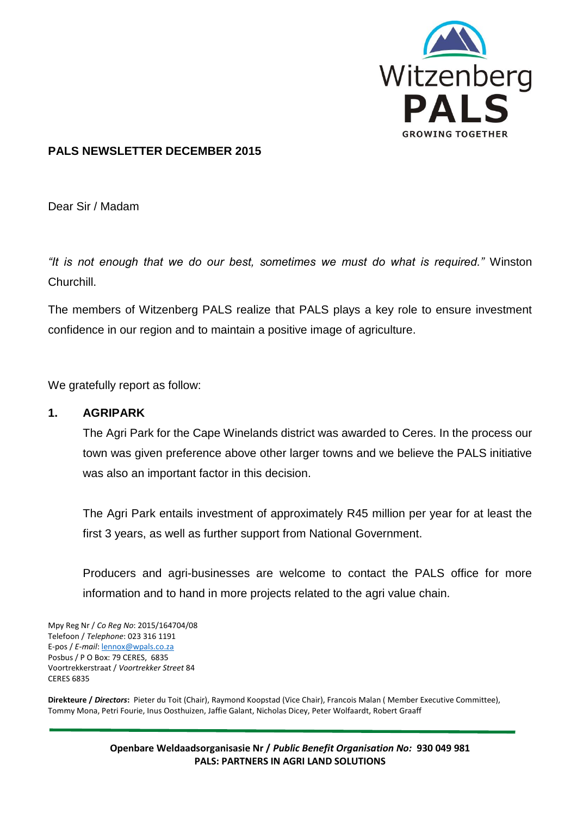

### **PALS NEWSLETTER DECEMBER 2015**

Dear Sir / Madam

*"It is not enough that we do our best, sometimes we must do what is required."* Winston Churchill.

The members of Witzenberg PALS realize that PALS plays a key role to ensure investment confidence in our region and to maintain a positive image of agriculture.

We gratefully report as follow:

#### **1. AGRIPARK**

The Agri Park for the Cape Winelands district was awarded to Ceres. In the process our town was given preference above other larger towns and we believe the PALS initiative was also an important factor in this decision.

The Agri Park entails investment of approximately R45 million per year for at least the first 3 years, as well as further support from National Government.

Producers and agri-businesses are welcome to contact the PALS office for more information and to hand in more projects related to the agri value chain.

Mpy Reg Nr / *Co Reg No*: 2015/164704/08 Telefoon / *Telephone*: 023 316 1191 E-pos / *E-mail*[: lennox@wpals.co.za](mailto:lennox@wpals.co.za) Posbus / P O Box: 79 CERES, 6835 Voortrekkerstraat / *Voortrekker Street* 84 CERES 6835

**Direkteure /** *Directors***:** Pieter du Toit (Chair), Raymond Koopstad (Vice Chair), Francois Malan ( Member Executive Committee), Tommy Mona, Petri Fourie, Inus Oosthuizen, Jaffie Galant, Nicholas Dicey, Peter Wolfaardt, Robert Graaff

> **Openbare Weldaadsorganisasie Nr /** *Public Benefit Organisation No:* **930 049 981 PALS: PARTNERS IN AGRI LAND SOLUTIONS**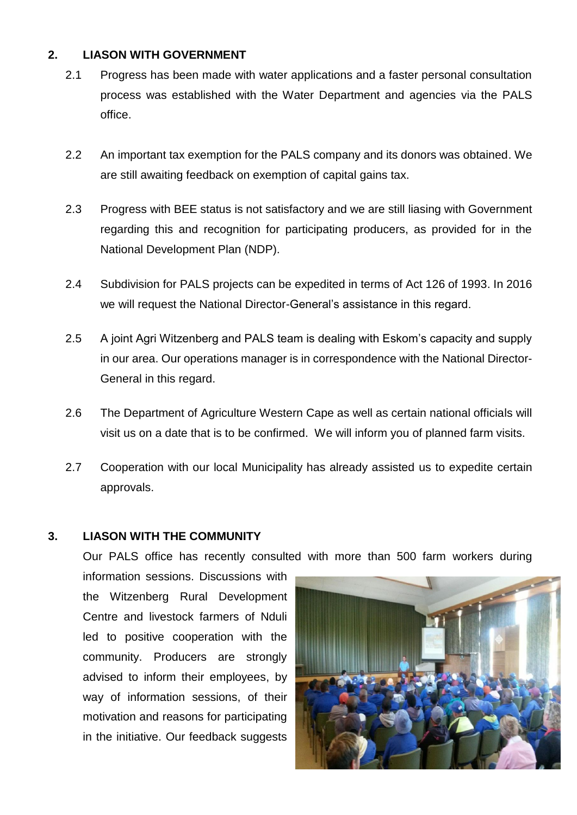## **2. LIASON WITH GOVERNMENT**

- 2.1 Progress has been made with water applications and a faster personal consultation process was established with the Water Department and agencies via the PALS office.
- 2.2 An important tax exemption for the PALS company and its donors was obtained. We are still awaiting feedback on exemption of capital gains tax.
- 2.3 Progress with BEE status is not satisfactory and we are still liasing with Government regarding this and recognition for participating producers, as provided for in the National Development Plan (NDP).
- 2.4 Subdivision for PALS projects can be expedited in terms of Act 126 of 1993. In 2016 we will request the National Director-General's assistance in this regard.
- 2.5 A joint Agri Witzenberg and PALS team is dealing with Eskom's capacity and supply in our area. Our operations manager is in correspondence with the National Director-General in this regard.
- 2.6 The Department of Agriculture Western Cape as well as certain national officials will visit us on a date that is to be confirmed. We will inform you of planned farm visits.
- 2.7 Cooperation with our local Municipality has already assisted us to expedite certain approvals.

## **3. LIASON WITH THE COMMUNITY**

Our PALS office has recently consulted with more than 500 farm workers during

information sessions. Discussions with the Witzenberg Rural Development Centre and livestock farmers of Nduli led to positive cooperation with the community. Producers are strongly advised to inform their employees, by way of information sessions, of their motivation and reasons for participating in the initiative. Our feedback suggests

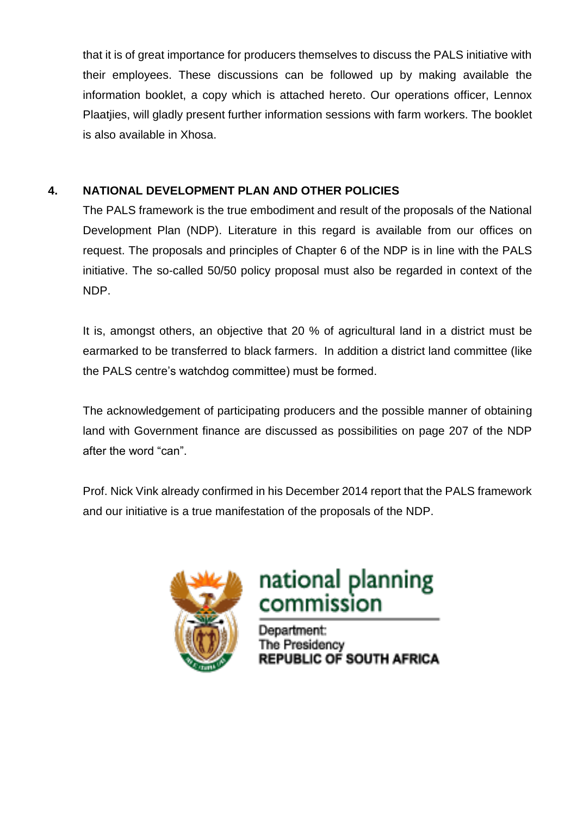that it is of great importance for producers themselves to discuss the PALS initiative with their employees. These discussions can be followed up by making available the information booklet, a copy which is attached hereto. Our operations officer, Lennox Plaatjies, will gladly present further information sessions with farm workers. The booklet is also available in Xhosa.

## **4. NATIONAL DEVELOPMENT PLAN AND OTHER POLICIES**

The PALS framework is the true embodiment and result of the proposals of the National Development Plan (NDP). Literature in this regard is available from our offices on request. The proposals and principles of Chapter 6 of the NDP is in line with the PALS initiative. The so-called 50/50 policy proposal must also be regarded in context of the NDP.

It is, amongst others, an objective that 20 % of agricultural land in a district must be earmarked to be transferred to black farmers. In addition a district land committee (like the PALS centre's watchdog committee) must be formed.

The acknowledgement of participating producers and the possible manner of obtaining land with Government finance are discussed as possibilities on page 207 of the NDP after the word "can".

Prof. Nick Vink already confirmed in his December 2014 report that the PALS framework and our initiative is a true manifestation of the proposals of the NDP.



# national planning<br>commission

Department: The Presidency **REPUBLIC OF SOUTH AFRICA**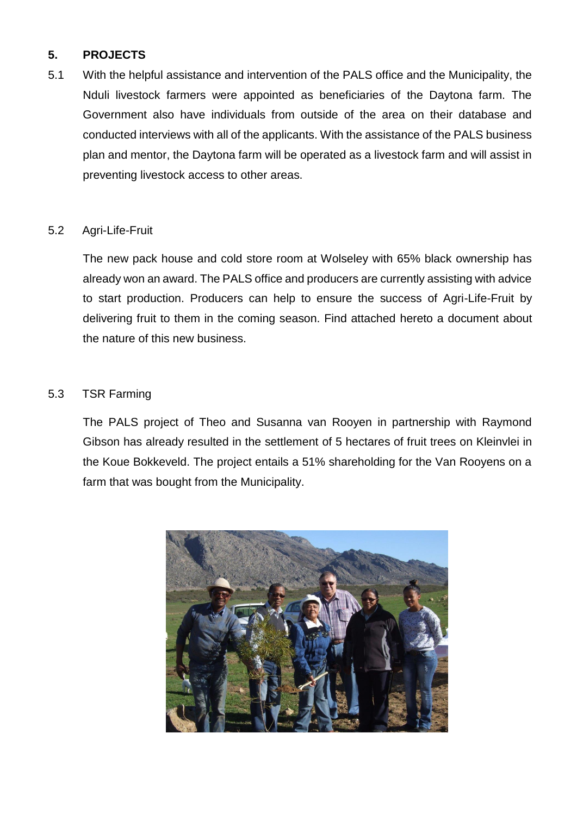## **5. PROJECTS**

5.1 With the helpful assistance and intervention of the PALS office and the Municipality, the Nduli livestock farmers were appointed as beneficiaries of the Daytona farm. The Government also have individuals from outside of the area on their database and conducted interviews with all of the applicants. With the assistance of the PALS business plan and mentor, the Daytona farm will be operated as a livestock farm and will assist in preventing livestock access to other areas.

#### 5.2 Agri-Life-Fruit

The new pack house and cold store room at Wolseley with 65% black ownership has already won an award. The PALS office and producers are currently assisting with advice to start production. Producers can help to ensure the success of Agri-Life-Fruit by delivering fruit to them in the coming season. Find attached hereto a document about the nature of this new business.

## 5.3 TSR Farming

The PALS project of Theo and Susanna van Rooyen in partnership with Raymond Gibson has already resulted in the settlement of 5 hectares of fruit trees on Kleinvlei in the Koue Bokkeveld. The project entails a 51% shareholding for the Van Rooyens on a farm that was bought from the Municipality.

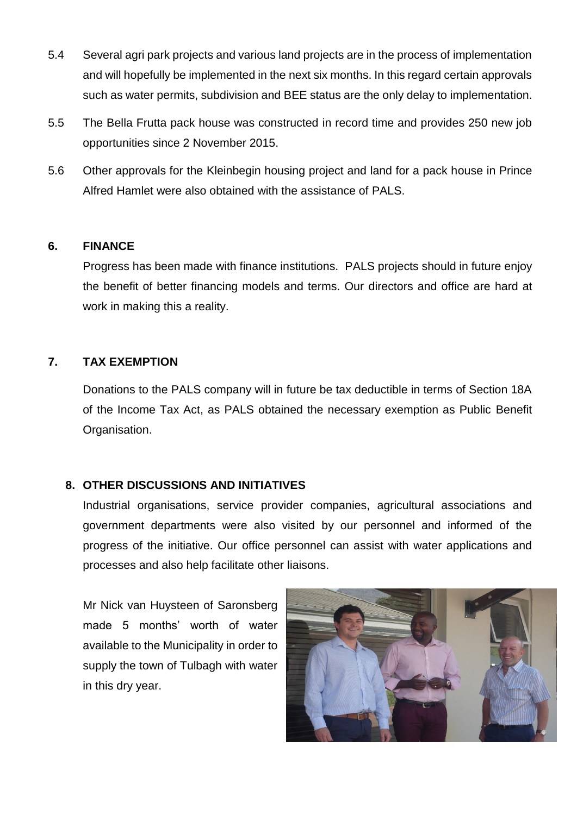- 5.4 Several agri park projects and various land projects are in the process of implementation and will hopefully be implemented in the next six months. In this regard certain approvals such as water permits, subdivision and BEE status are the only delay to implementation.
- 5.5 The Bella Frutta pack house was constructed in record time and provides 250 new job opportunities since 2 November 2015.
- 5.6 Other approvals for the Kleinbegin housing project and land for a pack house in Prince Alfred Hamlet were also obtained with the assistance of PALS.

#### **6. FINANCE**

Progress has been made with finance institutions. PALS projects should in future enjoy the benefit of better financing models and terms. Our directors and office are hard at work in making this a reality.

## **7. TAX EXEMPTION**

Donations to the PALS company will in future be tax deductible in terms of Section 18A of the Income Tax Act, as PALS obtained the necessary exemption as Public Benefit Organisation.

#### **8. OTHER DISCUSSIONS AND INITIATIVES**

Industrial organisations, service provider companies, agricultural associations and government departments were also visited by our personnel and informed of the progress of the initiative. Our office personnel can assist with water applications and processes and also help facilitate other liaisons.

Mr Nick van Huysteen of Saronsberg made 5 months' worth of water available to the Municipality in order to supply the town of Tulbagh with water in this dry year.